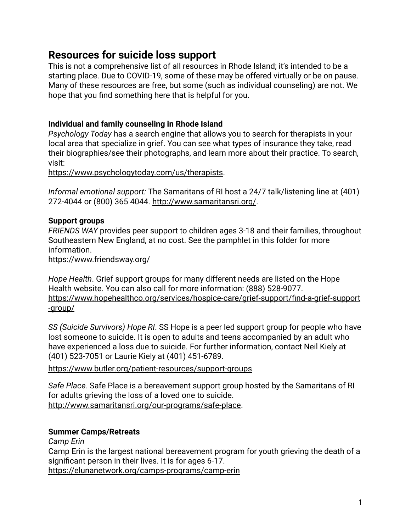# **Resources for suicide loss support**

This is not a comprehensive list of all resources in Rhode Island; it's intended to be a starting place. Due to COVID-19, some of these may be offered virtually or be on pause. Many of these resources are free, but some (such as individual counseling) are not. We hope that you find something here that is helpful for you.

# **Individual and family counseling in Rhode Island**

*Psychology Today* has a search engine that allows you to search for therapists in your local area that specialize in grief. You can see what types of insurance they take, read their biographies/see their photographs, and learn more about their practice. To search, visit:

<https://www.psychologytoday.com/us/therapists>.

*Informal emotional support:* The Samaritans of RI host a 24/7 talk/listening line at (401) 272-4044 or (800) 365 4044. [http://www.samaritansri.org/.](http://www.samaritansri.org/)

# **Support groups**

*FRIENDS WAY* provides peer support to children ages 3-18 and their families, throughout Southeastern New England, at no cost. See the pamphlet in this folder for more information.

<https://www.friendsway.org/>

*Hope Health*. Grief support groups for many different needs are listed on the Hope Health website. You can also call for more information: (888) 528-9077. [https://www.hopehealthco.org/services/hospice-care/grief-support/find-a-grief-support](https://www.hopehealthco.org/services/hospice-care/grief-support/find-a-grief-support-group/) [-group/](https://www.hopehealthco.org/services/hospice-care/grief-support/find-a-grief-support-group/)

*SS (Suicide Survivors) Hope RI*. SS Hope is a peer led support group for people who have lost someone to suicide. It is open to adults and teens accompanied by an adult who have experienced a loss due to suicide. For further information, contact Neil Kiely at (401) 523-7051 or Laurie Kiely at (401) 451-6789.

<https://www.butler.org/patient-resources/support-groups>

*Safe Place.* Safe Place is a bereavement support group hosted by the Samaritans of RI for adults grieving the loss of a loved one to suicide. <http://www.samaritansri.org/our-programs/safe-place>.

# **Summer Camps/Retreats**

*Camp Erin*

Camp Erin is the largest national bereavement program for youth grieving the death of a significant person in their lives. It is for ages 6-17.

<https://elunanetwork.org/camps-programs/camp-erin>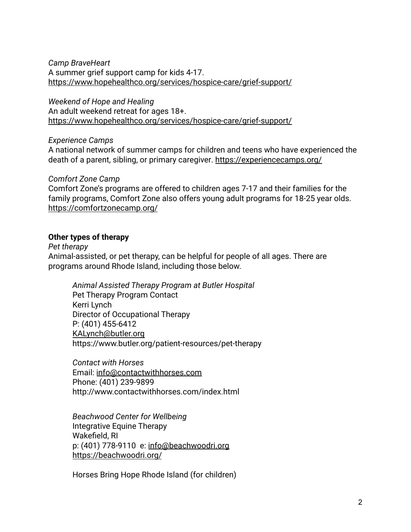*Camp BraveHeart* A summer grief support camp for kids 4-17. <https://www.hopehealthco.org/services/hospice-care/grief-support/>

*Weekend of Hope and Healing*

An adult weekend retreat for ages 18+.

<https://www.hopehealthco.org/services/hospice-care/grief-support/>

#### *Experience Camps*

A national network of summer camps for children and teens who have experienced the death of a parent, sibling, or primary caregiver. <https://experiencecamps.org/>

## *Comfort Zone Camp*

Comfort Zone's programs are offered to children ages 7-17 and their families for the family programs, Comfort Zone also offers young adult programs for 18-25 year olds. <https://comfortzonecamp.org/>

## **Other types of therapy**

#### *Pet therapy*

Animal-assisted, or pet therapy, can be helpful for people of all ages. There are programs around Rhode Island, including those below.

*Animal Assisted Therapy Program at Butler Hospital* Pet Therapy Program Contact Kerri Lynch Director of Occupational Therapy P: (401) 455-6412 [KALynch@butler.org](mailto:KALynch@butler.org) https://www.butler.org/patient-resources/pet-therapy

*Contact with Horses* Email: [info@contactwithhorses.com](mailto:info@contactwithhorses.com) Phone: (401) 239-9899 http://www.contactwithhorses.com/index.html

*Beachwood Center for Wellbeing* Integrative Equine Therapy Wakefield, RI p: (401) 778-9110 e: [info@beachwoodri.org](mailto:info@beachwoodri.org) <https://beachwoodri.org/>

Horses Bring Hope Rhode Island (for children)